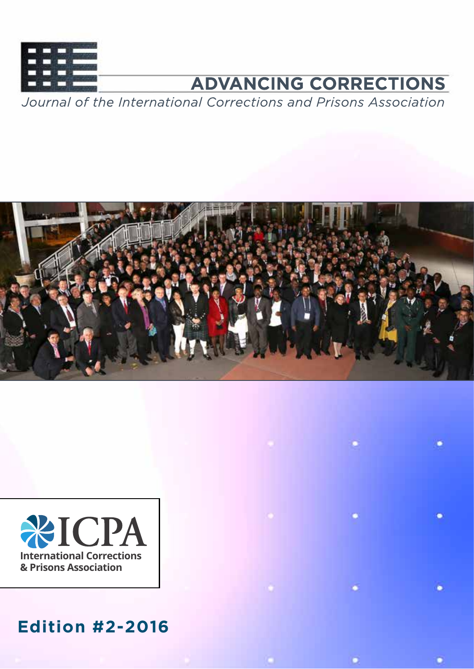

# **ADVANCING CORRECTIONS**

c

Journal of the International Corrections and Prisons Association





## **Edition #2-2016**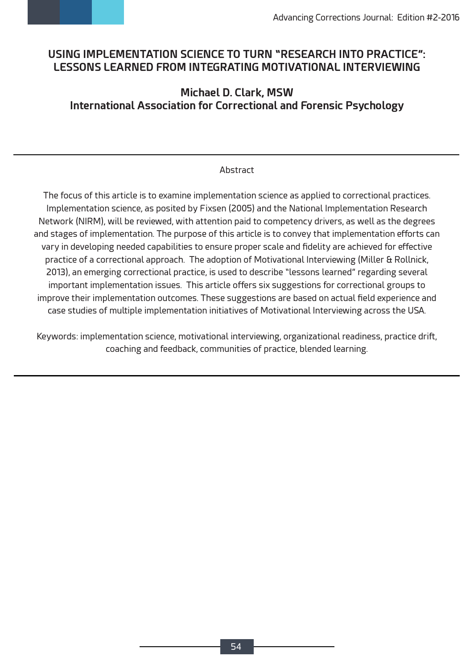

## **USING IMPLEMENTATION SCIENCE TO TURN "RESEARCH INTO PRACTICE": LESSONS LEARNED FROM INTEGRATING MOTIVATIONAL INTERVIEWING**

## **Michael D. Clark, MSW International Association for Correctional and Forensic Psychology**

#### Abstract

The focus of this article is to examine implementation science as applied to correctional practices. Implementation science, as posited by Fixsen (2005) and the National Implementation Research Network (NIRM), will be reviewed, with attention paid to competency drivers, as well as the degrees and stages of implementation. The purpose of this article is to convey that implementation efforts can vary in developing needed capabilities to ensure proper scale and fidelity are achieved for effective practice of a correctional approach. The adoption of Motivational Interviewing (Miller & Rollnick, 2013), an emerging correctional practice, is used to describe "lessons learned" regarding several important implementation issues. This article offers six suggestions for correctional groups to improve their implementation outcomes. These suggestions are based on actual field experience and case studies of multiple implementation initiatives of Motivational Interviewing across the USA.

Keywords: implementation science, motivational interviewing, organizational readiness, practice drift, coaching and feedback, communities of practice, blended learning.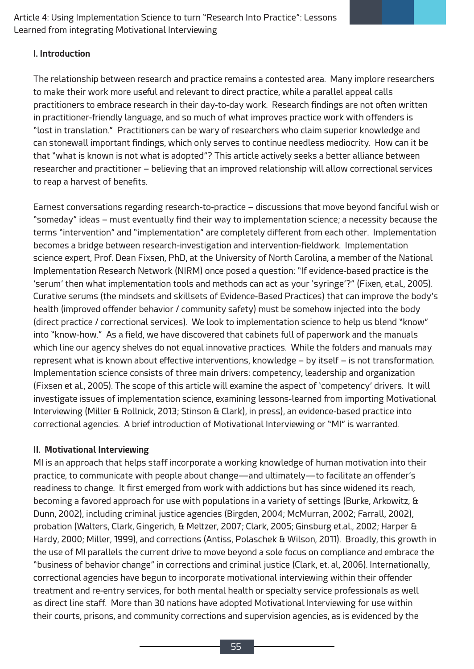#### **I. Introduction**

The relationship between research and practice remains a contested area. Many implore researchers to make their work more useful and relevant to direct practice, while a parallel appeal calls practitioners to embrace research in their day-to-day work. Research findings are not often written in practitioner-friendly language, and so much of what improves practice work with offenders is "lost in translation." Practitioners can be wary of researchers who claim superior knowledge and can stonewall important findings, which only serves to continue needless mediocrity. How can it be that "what is known is not what is adopted"? This article actively seeks a better alliance between researcher and practitioner – believing that an improved relationship will allow correctional services to reap a harvest of benefits.

Earnest conversations regarding research-to-practice – discussions that move beyond fanciful wish or "someday" ideas – must eventually find their way to implementation science; a necessity because the terms "intervention" and "implementation" are completely different from each other. Implementation becomes a bridge between research-investigation and intervention-fieldwork. Implementation science expert, Prof. Dean Fixsen, PhD, at the University of North Carolina, a member of the National Implementation Research Network (NIRM) once posed a question: "If evidence-based practice is the 'serum' then what implementation tools and methods can act as your 'syringe'?" (Fixen, et.al., 2005). Curative serums (the mindsets and skillsets of Evidence-Based Practices) that can improve the body's health (improved offender behavior / community safety) must be somehow injected into the body (direct practice / correctional services). We look to implementation science to help us blend "know" into "know-how." As a field, we have discovered that cabinets full of paperwork and the manuals which line our agency shelves do not equal innovative practices. While the folders and manuals may represent what is known about effective interventions, knowledge – by itself – is not transformation. Implementation science consists of three main drivers: competency, leadership and organization (Fixsen et al., 2005). The scope of this article will examine the aspect of 'competency' drivers. It will investigate issues of implementation science, examining lessons-learned from importing Motivational Interviewing (Miller & Rollnick, 2013; Stinson & Clark), in press), an evidence-based practice into correctional agencies. A brief introduction of Motivational Interviewing or "MI" is warranted.

#### **II. Motivational Interviewing**

MI is an approach that helps staff incorporate a working knowledge of human motivation into their practice, to communicate with people about change—and ultimately—to facilitate an offender's readiness to change. It first emerged from work with addictions but has since widened its reach, becoming a favored approach for use with populations in a variety of settings (Burke, Arkowitz, & Dunn, 2002), including criminal justice agencies (Birgden, 2004; McMurran, 2002; Farrall, 2002), probation (Walters, Clark, Gingerich, & Meltzer, 2007; Clark, 2005; Ginsburg et.al., 2002; Harper & Hardy, 2000; Miller, 1999), and corrections (Antiss, Polaschek & Wilson, 2011). Broadly, this growth in the use of MI parallels the current drive to move beyond a sole focus on compliance and embrace the "business of behavior change" in corrections and criminal justice (Clark, et. al, 2006). Internationally, correctional agencies have begun to incorporate motivational interviewing within their offender treatment and re-entry services, for both mental health or specialty service professionals as well as direct line staff. More than 30 nations have adopted Motivational Interviewing for use within their courts, prisons, and community corrections and supervision agencies, as is evidenced by the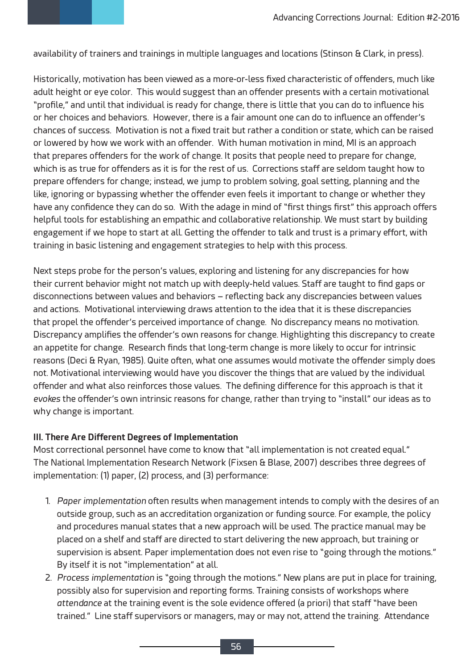availability of trainers and trainings in multiple languages and locations (Stinson & Clark, in press).

Historically, motivation has been viewed as a more-or-less fixed characteristic of offenders, much like adult height or eye color. This would suggest than an offender presents with a certain motivational "profile," and until that individual is ready for change, there is little that you can do to influence his or her choices and behaviors. However, there is a fair amount one can do to influence an offender's chances of success. Motivation is not a fixed trait but rather a condition or state, which can be raised or lowered by how we work with an offender. With human motivation in mind, MI is an approach that prepares offenders for the work of change. It posits that people need to prepare for change, which is as true for offenders as it is for the rest of us. Corrections staff are seldom taught how to prepare offenders for change; instead, we jump to problem solving, goal setting, planning and the like, ignoring or bypassing whether the offender even feels it important to change or whether they have any confidence they can do so. With the adage in mind of "first things first" this approach offers helpful tools for establishing an empathic and collaborative relationship. We must start by building engagement if we hope to start at all. Getting the offender to talk and trust is a primary effort, with training in basic listening and engagement strategies to help with this process.

Next steps probe for the person's values, exploring and listening for any discrepancies for how their current behavior might not match up with deeply-held values. Staff are taught to find gaps or disconnections between values and behaviors – reflecting back any discrepancies between values and actions. Motivational interviewing draws attention to the idea that it is these discrepancies that propel the offender's perceived importance of change. No discrepancy means no motivation. Discrepancy amplifies the offender's own reasons for change. Highlighting this discrepancy to create an appetite for change. Research finds that long-term change is more likely to occur for intrinsic reasons (Deci & Ryan, 1985). Quite often, what one assumes would motivate the offender simply does not. Motivational interviewing would have you discover the things that are valued by the individual offender and what also reinforces those values. The defining difference for this approach is that it *evokes* the offender's own intrinsic reasons for change, rather than trying to "install" our ideas as to why change is important.

#### **III. There Are Different Degrees of Implementation**

Most correctional personnel have come to know that "all implementation is not created equal." The National Implementation Research Network (Fixsen & Blase, 2007) describes three degrees of implementation: (1) paper, (2) process, and (3) performance:

- 1. *Paper implementation* often results when management intends to comply with the desires of an outside group, such as an accreditation organization or funding source. For example, the policy and procedures manual states that a new approach will be used. The practice manual may be placed on a shelf and staff are directed to start delivering the new approach, but training or supervision is absent. Paper implementation does not even rise to "going through the motions." By itself it is not "implementation" at all.
- 2. *Process implementation* is "going through the motions." New plans are put in place for training, possibly also for supervision and reporting forms. Training consists of workshops where *attendance* at the training event is the sole evidence offered (a priori) that staff "have been trained." Line staff supervisors or managers, may or may not, attend the training. Attendance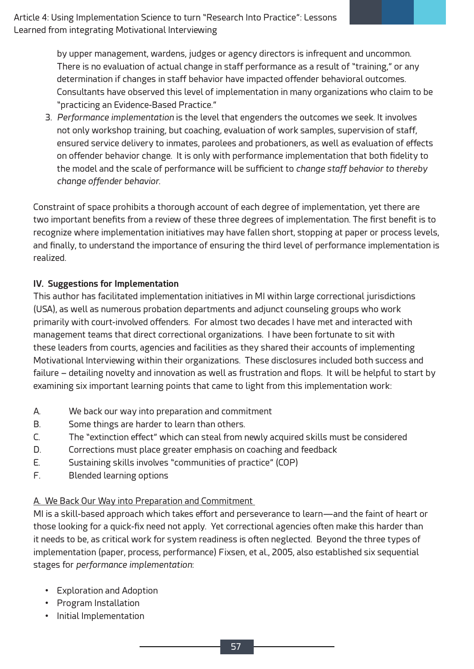by upper management, wardens, judges or agency directors is infrequent and uncommon. There is no evaluation of actual change in staff performance as a result of "training," or any determination if changes in staff behavior have impacted offender behavioral outcomes. Consultants have observed this level of implementation in many organizations who claim to be "practicing an Evidence-Based Practice."

3. *Performance implementation* is the level that engenders the outcomes we seek. It involves not only workshop training, but coaching, evaluation of work samples, supervision of staff, ensured service delivery to inmates, parolees and probationers, as well as evaluation of effects on offender behavior change. It is only with performance implementation that both fidelity to the model and the scale of performance will be sufficient to *change staff behavior to thereby change offender behavior*.

Constraint of space prohibits a thorough account of each degree of implementation, yet there are two important benefits from a review of these three degrees of implementation. The first benefit is to recognize where implementation initiatives may have fallen short, stopping at paper or process levels, and finally, to understand the importance of ensuring the third level of performance implementation is realized.

#### **IV. Suggestions for Implementation**

This author has facilitated implementation initiatives in MI within large correctional jurisdictions (USA), as well as numerous probation departments and adjunct counseling groups who work primarily with court-involved offenders. For almost two decades I have met and interacted with management teams that direct correctional organizations. I have been fortunate to sit with these leaders from courts, agencies and facilities as they shared their accounts of implementing Motivational Interviewing within their organizations. These disclosures included both success and failure – detailing novelty and innovation as well as frustration and flops. It will be helpful to start by examining six important learning points that came to light from this implementation work:

- A. We back our way into preparation and commitment
- B. Some things are harder to learn than others.
- C. The "extinction effect" which can steal from newly acquired skills must be considered
- D. Corrections must place greater emphasis on coaching and feedback
- E. Sustaining skills involves "communities of practice" (COP)
- F. Blended learning options

## A. We Back Our Way into Preparation and Commitment

MI is a skill-based approach which takes effort and perseverance to learn—and the faint of heart or those looking for a quick-fix need not apply. Yet correctional agencies often make this harder than it needs to be, as critical work for system readiness is often neglected. Beyond the three types of implementation (paper, process, performance) Fixsen, et al., 2005, also established six sequential stages for *performance implementation*:

- Exploration and Adoption
- Program Installation
- Initial Implementation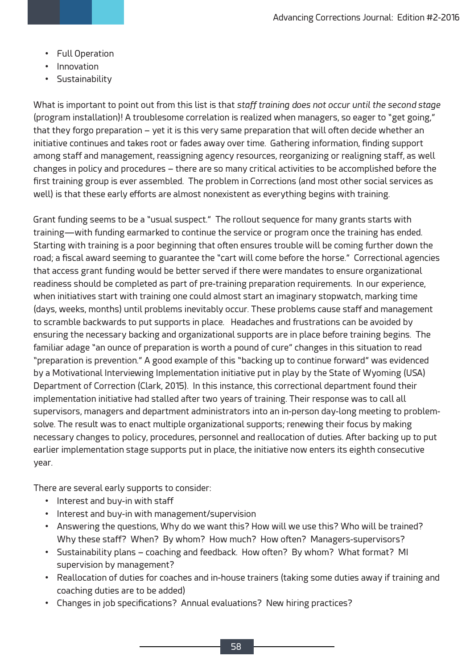- Full Operation
- Innovation
- Sustainability

What is important to point out from this list is that *staff training does not occur until the second stage* (program installation)! A troublesome correlation is realized when managers, so eager to "get going," that they forgo preparation – yet it is this very same preparation that will often decide whether an initiative continues and takes root or fades away over time. Gathering information, finding support among staff and management, reassigning agency resources, reorganizing or realigning staff, as well changes in policy and procedures – there are so many critical activities to be accomplished before the first training group is ever assembled. The problem in Corrections (and most other social services as well) is that these early efforts are almost nonexistent as everything begins with training.

Grant funding seems to be a "usual suspect." The rollout sequence for many grants starts with training—with funding earmarked to continue the service or program once the training has ended. Starting with training is a poor beginning that often ensures trouble will be coming further down the road; a fiscal award seeming to guarantee the "cart will come before the horse." Correctional agencies that access grant funding would be better served if there were mandates to ensure organizational readiness should be completed as part of pre-training preparation requirements. In our experience, when initiatives start with training one could almost start an imaginary stopwatch, marking time (days, weeks, months) until problems inevitably occur. These problems cause staff and management to scramble backwards to put supports in place. Headaches and frustrations can be avoided by ensuring the necessary backing and organizational supports are in place before training begins. The familiar adage "an ounce of preparation is worth a pound of cure" changes in this situation to read "preparation is prevention." A good example of this "backing up to continue forward" was evidenced by a Motivational Interviewing Implementation initiative put in play by the State of Wyoming (USA) Department of Correction (Clark, 2015). In this instance, this correctional department found their implementation initiative had stalled after two years of training. Their response was to call all supervisors, managers and department administrators into an in-person day-long meeting to problemsolve. The result was to enact multiple organizational supports; renewing their focus by making necessary changes to policy, procedures, personnel and reallocation of duties. After backing up to put earlier implementation stage supports put in place, the initiative now enters its eighth consecutive year.

There are several early supports to consider:

- Interest and buy-in with staff
- Interest and buy-in with management/supervision
- Answering the questions, Why do we want this? How will we use this? Who will be trained? Why these staff? When? By whom? How much? How often? Managers-supervisors?
- Sustainability plans coaching and feedback. How often? By whom? What format? MI supervision by management?
- Reallocation of duties for coaches and in-house trainers (taking some duties away if training and coaching duties are to be added)
- Changes in job specifications? Annual evaluations? New hiring practices?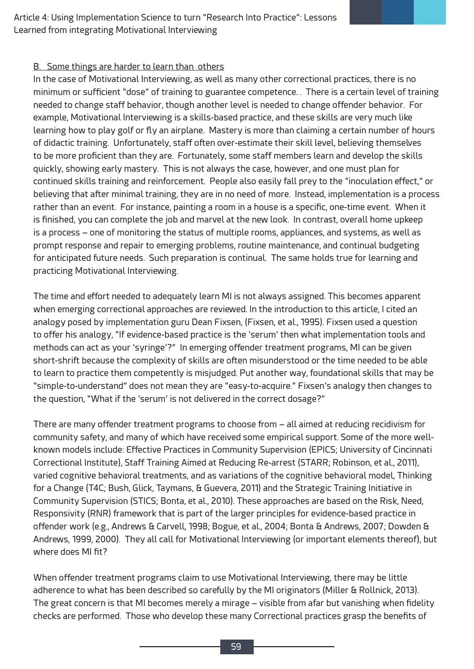#### B. Some things are harder to learn than others

In the case of Motivational Interviewing, as well as many other correctional practices, there is no minimum or sufficient "dose" of training to guarantee competence. . There is a certain level of training needed to change staff behavior, though another level is needed to change offender behavior. For example, Motivational Interviewing is a skills-based practice, and these skills are very much like learning how to play golf or fly an airplane. Mastery is more than claiming a certain number of hours of didactic training. Unfortunately, staff often over-estimate their skill level, believing themselves to be more proficient than they are. Fortunately, some staff members learn and develop the skills quickly, showing early mastery. This is not always the case, however, and one must plan for continued skills training and reinforcement. People also easily fall prey to the "inoculation effect," or believing that after minimal training, they are in no need of more. Instead, implementation is a process rather than an event. For instance, painting a room in a house is a specific, one-time event. When it is finished, you can complete the job and marvel at the new look. In contrast, overall home upkeep is a process – one of monitoring the status of multiple rooms, appliances, and systems, as well as prompt response and repair to emerging problems, routine maintenance, and continual budgeting for anticipated future needs. Such preparation is continual. The same holds true for learning and practicing Motivational Interviewing.

The time and effort needed to adequately learn MI is not always assigned. This becomes apparent when emerging correctional approaches are reviewed. In the introduction to this article, I cited an analogy posed by implementation guru Dean Fixsen, (Fixsen, et al., 1995). Fixsen used a question to offer his analogy, "If evidence-based practice is the 'serum' then what implementation tools and methods can act as your 'syringe'?" In emerging offender treatment programs, MI can be given short-shrift because the complexity of skills are often misunderstood or the time needed to be able to learn to practice them competently is misjudged. Put another way, foundational skills that may be "simple-to-understand" does not mean they are "easy-to-acquire." Fixsen's analogy then changes to the question, "What if the 'serum' is not delivered in the correct dosage?"

There are many offender treatment programs to choose from – all aimed at reducing recidivism for community safety, and many of which have received some empirical support. Some of the more wellknown models include: Effective Practices in Community Supervision (EPICS; University of Cincinnati Correctional Institute), Staff Training Aimed at Reducing Re-arrest (STARR; Robinson, et al., 2011), varied cognitive behavioral treatments, and as variations of the cognitive behavioral model, Thinking for a Change (T4C; Bush, Glick, Taymans, & Guevera, 2011) and the Strategic Training Initiative in Community Supervision (STICS; Bonta, et al., 2010). These approaches are based on the Risk, Need, Responsivity (RNR) framework that is part of the larger principles for evidence-based practice in offender work (e.g., Andrews & Carvell, 1998; Bogue, et al., 2004; Bonta & Andrews, 2007; Dowden & Andrews, 1999, 2000). They all call for Motivational Interviewing (or important elements thereof), but where does MI fit?

When offender treatment programs claim to use Motivational Interviewing, there may be little adherence to what has been described so carefully by the MI originators (Miller & Rollnick, 2013). The great concern is that MI becomes merely a mirage – visible from afar but vanishing when fidelity checks are performed. Those who develop these many Correctional practices grasp the benefits of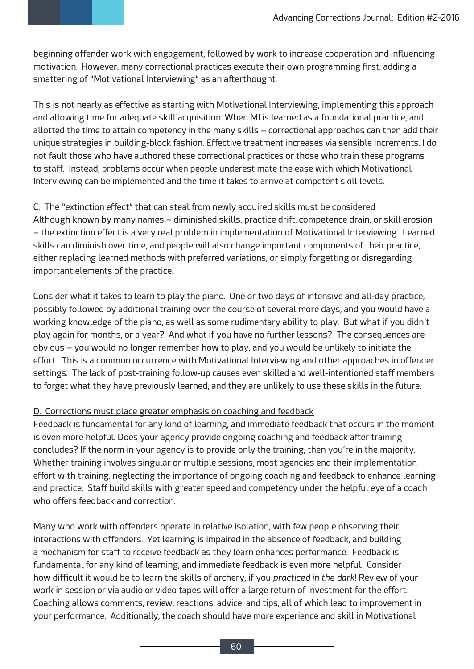beginning offender work with engagement, followed by work to increase cooperation and influencing motivation. However, many correctional practices execute their own programming first, adding a smattering of "Motivational Interviewing" as an afterthought.

This is not nearly as effective as starting with Motivational Interviewing, implementing this approach and allowing time for adequate skill acquisition. When MI is learned as a foundational practice, and allotted the time to attain competency in the many skills – correctional approaches can then add their unique strategies in building-block fashion. Effective treatment increases via sensible increments. I do not fault those who have authored these correctional practices or those who train these programs to staff. Instead, problems occur when people underestimate the ease with which Motivational Interviewing can be implemented and the time it takes to arrive at competent skill levels.

#### C. The "extinction effect" that can steal from newly acquired skills must be considered

Although known by many names – diminished skills, practice drift, competence drain, or skill erosion – the extinction effect is a very real problem in implementation of Motivational Interviewing. Learned skills can diminish over time, and people will also change important components of their practice, either replacing learned methods with preferred variations, or simply forgetting or disregarding important elements of the practice.

Consider what it takes to learn to play the piano. One or two days of intensive and all-day practice, possibly followed by additional training over the course of several more days, and you would have a working knowledge of the piano, as well as some rudimentary ability to play. But what if you didn't play again for months, or a year? And what if you have no further lessons? The consequences are obvious – you would no longer remember how to play, and you would be unlikely to initiate the effort. This is a common occurrence with Motivational Interviewing and other approaches in offender settings. The lack of post-training follow-up causes even skilled and well-intentioned staff members to forget what they have previously learned, and they are unlikely to use these skills in the future.

#### D. Corrections must place greater emphasis on coaching and feedback

Feedback is fundamental for any kind of learning, and immediate feedback that occurs in the moment is even more helpful. Does your agency provide ongoing coaching and feedback after training concludes? If the norm in your agency is to provide only the training, then you're in the majority. Whether training involves singular or multiple sessions, most agencies end their implementation effort with training, neglecting the importance of ongoing coaching and feedback to enhance learning and practice. Staff build skills with greater speed and competency under the helpful eye of a coach who offers feedback and correction.

Many who work with offenders operate in relative isolation, with few people observing their interactions with offenders. Yet learning is impaired in the absence of feedback, and building a mechanism for staff to receive feedback as they learn enhances performance. Feedback is fundamental for any kind of learning, and immediate feedback is even more helpful. Consider how difficult it would be to learn the skills of archery, if you *practiced in the dark*! Review of your work in session or via audio or video tapes will offer a large return of investment for the effort. Coaching allows comments, review, reactions, advice, and tips, all of which lead to improvement in your performance. Additionally, the coach should have more experience and skill in Motivational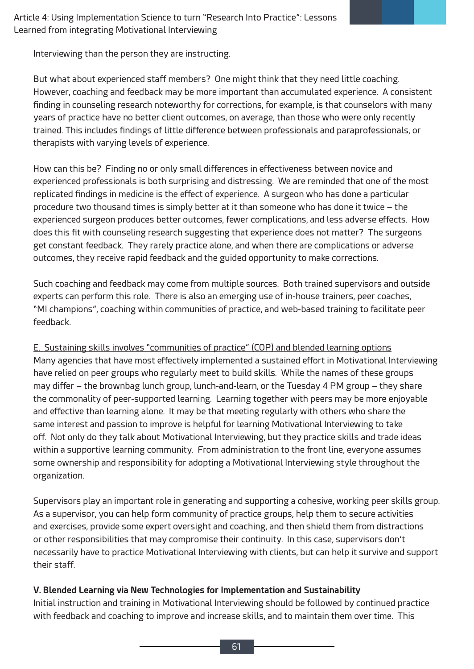Interviewing than the person they are instructing.

But what about experienced staff members? One might think that they need little coaching. However, coaching and feedback may be more important than accumulated experience. A consistent finding in counseling research noteworthy for corrections, for example, is that counselors with many years of practice have no better client outcomes, on average, than those who were only recently trained. This includes findings of little difference between professionals and paraprofessionals, or therapists with varying levels of experience.

How can this be? Finding no or only small differences in effectiveness between novice and experienced professionals is both surprising and distressing. We are reminded that one of the most replicated findings in medicine is the effect of experience. A surgeon who has done a particular procedure two thousand times is simply better at it than someone who has done it twice – the experienced surgeon produces better outcomes, fewer complications, and less adverse effects. How does this fit with counseling research suggesting that experience does not matter? The surgeons get constant feedback. They rarely practice alone, and when there are complications or adverse outcomes, they receive rapid feedback and the guided opportunity to make corrections.

Such coaching and feedback may come from multiple sources. Both trained supervisors and outside experts can perform this role. There is also an emerging use of in-house trainers, peer coaches, "MI champions", coaching within communities of practice, and web-based training to facilitate peer feedback.

E. Sustaining skills involves "communities of practice" (COP) and blended learning options Many agencies that have most effectively implemented a sustained effort in Motivational Interviewing have relied on peer groups who regularly meet to build skills. While the names of these groups may differ – the brownbag lunch group, lunch-and-learn, or the Tuesday 4 PM group – they share the commonality of peer-supported learning. Learning together with peers may be more enjoyable and effective than learning alone. It may be that meeting regularly with others who share the same interest and passion to improve is helpful for learning Motivational Interviewing to take off. Not only do they talk about Motivational Interviewing, but they practice skills and trade ideas within a supportive learning community. From administration to the front line, everyone assumes some ownership and responsibility for adopting a Motivational Interviewing style throughout the organization.

Supervisors play an important role in generating and supporting a cohesive, working peer skills group. As a supervisor, you can help form community of practice groups, help them to secure activities and exercises, provide some expert oversight and coaching, and then shield them from distractions or other responsibilities that may compromise their continuity. In this case, supervisors don't necessarily have to practice Motivational Interviewing with clients, but can help it survive and support their staff.

#### **V. Blended Learning via New Technologies for Implementation and Sustainability**

Initial instruction and training in Motivational Interviewing should be followed by continued practice with feedback and coaching to improve and increase skills, and to maintain them over time. This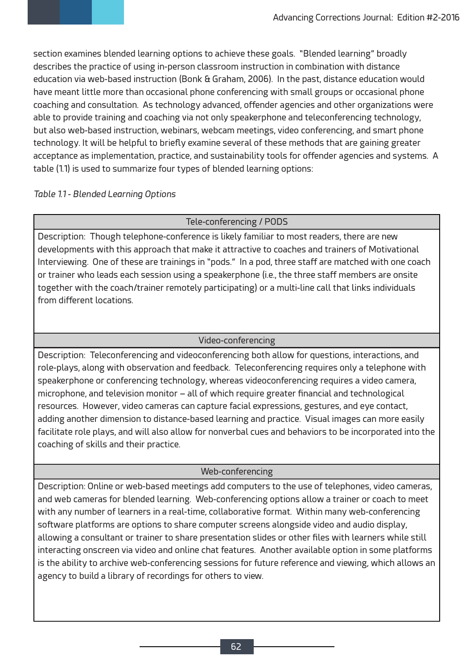section examines blended learning options to achieve these goals. "Blended learning" broadly describes the practice of using in-person classroom instruction in combination with distance education via web-based instruction (Bonk & Graham, 2006). In the past, distance education would have meant little more than occasional phone conferencing with small groups or occasional phone coaching and consultation. As technology advanced, offender agencies and other organizations were able to provide training and coaching via not only speakerphone and teleconferencing technology, but also web-based instruction, webinars, webcam meetings, video conferencing, and smart phone technology. It will be helpful to briefly examine several of these methods that are gaining greater acceptance as implementation, practice, and sustainability tools for offender agencies and systems. A table (1.1) is used to summarize four types of blended learning options:

#### *Table 1.1 - Blended Learning Options*

#### Tele-conferencing / PODS

Description: Though telephone-conference is likely familiar to most readers, there are new developments with this approach that make it attractive to coaches and trainers of Motivational Interviewing. One of these are trainings in "pods." In a pod, three staff are matched with one coach or trainer who leads each session using a speakerphone (i.e., the three staff members are onsite together with the coach/trainer remotely participating) or a multi-line call that links individuals from different locations.

#### Video-conferencing

Description: Teleconferencing and videoconferencing both allow for questions, interactions, and role-plays, along with observation and feedback. Teleconferencing requires only a telephone with speakerphone or conferencing technology, whereas videoconferencing requires a video camera, microphone, and television monitor – all of which require greater financial and technological resources. However, video cameras can capture facial expressions, gestures, and eye contact, adding another dimension to distance-based learning and practice. Visual images can more easily facilitate role plays, and will also allow for nonverbal cues and behaviors to be incorporated into the coaching of skills and their practice.

#### Web-conferencing

Description: Online or web-based meetings add computers to the use of telephones, video cameras, and web cameras for blended learning. Web-conferencing options allow a trainer or coach to meet with any number of learners in a real-time, collaborative format. Within many web-conferencing software platforms are options to share computer screens alongside video and audio display, allowing a consultant or trainer to share presentation slides or other files with learners while still interacting onscreen via video and online chat features. Another available option in some platforms is the ability to archive web-conferencing sessions for future reference and viewing, which allows an agency to build a library of recordings for others to view.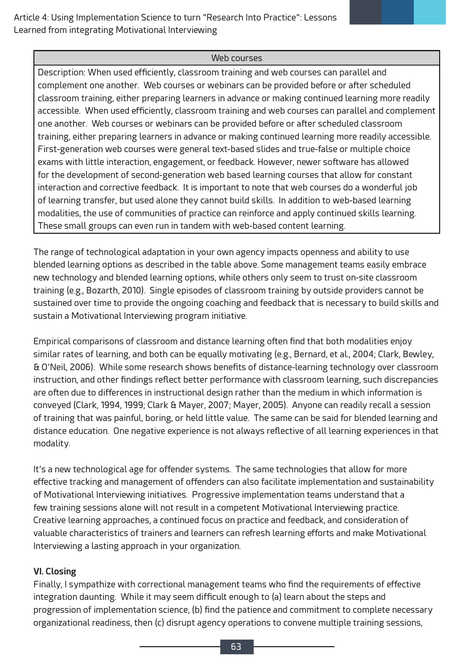#### Web courses

Description: When used efficiently, classroom training and web courses can parallel and complement one another. Web courses or webinars can be provided before or after scheduled classroom training, either preparing learners in advance or making continued learning more readily accessible. When used efficiently, classroom training and web courses can parallel and complement one another. Web courses or webinars can be provided before or after scheduled classroom training, either preparing learners in advance or making continued learning more readily accessible. First-generation web courses were general text-based slides and true-false or multiple choice exams with little interaction, engagement, or feedback. However, newer software has allowed for the development of second-generation web based learning courses that allow for constant interaction and corrective feedback. It is important to note that web courses do a wonderful job of learning transfer, but used alone they cannot build skills. In addition to web-based learning modalities, the use of communities of practice can reinforce and apply continued skills learning. These small groups can even run in tandem with web-based content learning.

The range of technological adaptation in your own agency impacts openness and ability to use blended learning options as described in the table above. Some management teams easily embrace new technology and blended learning options, while others only seem to trust on-site classroom training (e.g., Bozarth, 2010). Single episodes of classroom training by outside providers cannot be sustained over time to provide the ongoing coaching and feedback that is necessary to build skills and sustain a Motivational Interviewing program initiative.

Empirical comparisons of classroom and distance learning often find that both modalities enjoy similar rates of learning, and both can be equally motivating (e.g., Bernard, et al., 2004; Clark, Bewley, & O'Neil, 2006). While some research shows benefits of distance-learning technology over classroom instruction, and other findings reflect better performance with classroom learning, such discrepancies are often due to differences in instructional design rather than the medium in which information is conveyed (Clark, 1994, 1999; Clark & Mayer, 2007; Mayer, 2005). Anyone can readily recall a session of training that was painful, boring, or held little value. The same can be said for blended learning and distance education. One negative experience is not always reflective of all learning experiences in that modality.

It's a new technological age for offender systems. The same technologies that allow for more effective tracking and management of offenders can also facilitate implementation and sustainability of Motivational Interviewing initiatives. Progressive implementation teams understand that a few training sessions alone will not result in a competent Motivational Interviewing practice. Creative learning approaches, a continued focus on practice and feedback, and consideration of valuable characteristics of trainers and learners can refresh learning efforts and make Motivational Interviewing a lasting approach in your organization.

#### **VI. Closing**

Finally, I sympathize with correctional management teams who find the requirements of effective integration daunting. While it may seem difficult enough to (a) learn about the steps and progression of implementation science, (b) find the patience and commitment to complete necessary organizational readiness, then (c) disrupt agency operations to convene multiple training sessions,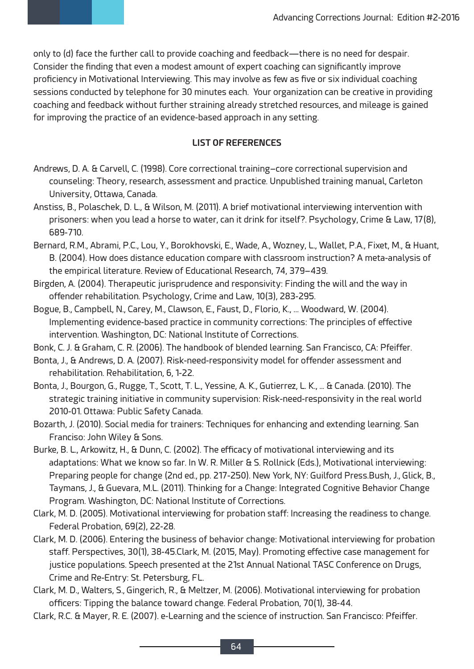only to (d) face the further call to provide coaching and feedback—there is no need for despair. Consider the finding that even a modest amount of expert coaching can significantly improve proficiency in Motivational Interviewing. This may involve as few as five or six individual coaching sessions conducted by telephone for 30 minutes each. Your organization can be creative in providing coaching and feedback without further straining already stretched resources, and mileage is gained for improving the practice of an evidence-based approach in any setting.

#### **LIST OF REFERENCES**

- Andrews, D. A. & Carvell, C. (1998). Core correctional training–core correctional supervision and counseling: Theory, research, assessment and practice. Unpublished training manual, Carleton University, Ottawa, Canada.
- Anstiss, B., Polaschek, D. L., & Wilson, M. (2011). A brief motivational interviewing intervention with prisoners: when you lead a horse to water, can it drink for itself?. Psychology, Crime & Law, 17(8), 689-710.
- Bernard, R.M., Abrami, P.C., Lou, Y., Borokhovski, E., Wade, A., Wozney, L., Wallet, P.A., Fixet, M., & Huant, B. (2004). How does distance education compare with classroom instruction? A meta-analysis of the empirical literature. Review of Educational Research, 74, 379–439.
- Birgden, A. (2004). Therapeutic jurisprudence and responsivity: Finding the will and the way in offender rehabilitation. Psychology, Crime and Law, 10(3), 283-295.
- Bogue, B., Campbell, N., Carey, M., Clawson, E., Faust, D., Florio, K., … Woodward, W. (2004). Implementing evidence-based practice in community corrections: The principles of effective intervention. Washington, DC: National Institute of Corrections.
- Bonk, C. J. & Graham, C. R. (2006). The handbook of blended learning. San Francisco, CA: Pfeiffer.
- Bonta, J., & Andrews, D. A. (2007). Risk-need-responsivity model for offender assessment and rehabilitation. Rehabilitation, 6, 1-22.
- Bonta, J., Bourgon, G., Rugge, T., Scott, T. L., Yessine, A. K., Gutierrez, L. K., ... & Canada. (2010). The strategic training initiative in community supervision: Risk-need-responsivity in the real world 2010-01. Ottawa: Public Safety Canada.
- Bozarth, J. (2010). Social media for trainers: Techniques for enhancing and extending learning. San Franciso: John Wiley & Sons.
- Burke, B. L., Arkowitz, H., & Dunn, C. (2002). The efficacy of motivational interviewing and its adaptations: What we know so far. In W. R. Miller & S. Rollnick (Eds.), Motivational interviewing: Preparing people for change (2nd ed., pp. 217-250). New York, NY: Guilford Press.Bush, J., Glick, B., Taymans, J., & Guevara, M.L. (2011). Thinking for a Change: Integrated Cognitive Behavior Change Program. Washington, DC: National Institute of Corrections.
- Clark, M. D. (2005). Motivational interviewing for probation staff: Increasing the readiness to change. Federal Probation, 69(2), 22-28.
- Clark, M. D. (2006). Entering the business of behavior change: Motivational interviewing for probation staff. Perspectives, 30(1), 38-45.Clark, M. (2015, May). Promoting effective case management for justice populations. Speech presented at the 21st Annual National TASC Conference on Drugs, Crime and Re-Entry: St. Petersburg, FL.
- Clark, M. D., Walters, S., Gingerich, R., & Meltzer, M. (2006). Motivational interviewing for probation officers: Tipping the balance toward change. Federal Probation, 70(1), 38-44.
- Clark, R.C. & Mayer, R. E. (2007). e-Learning and the science of instruction. San Francisco: Pfeiffer.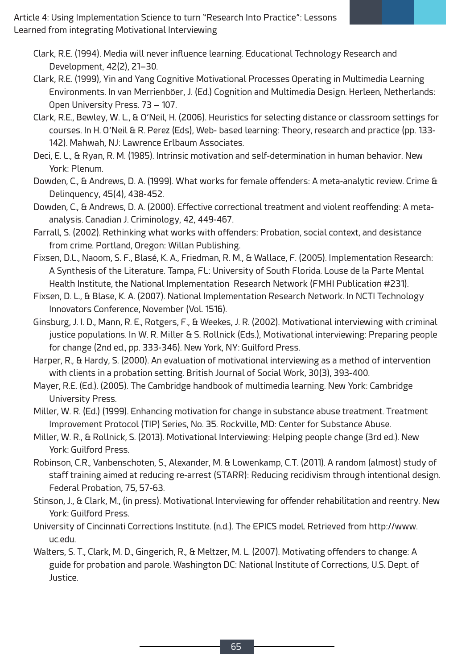- Clark, R.E. (1994). Media will never influence learning. Educational Technology Research and Development, 42(2), 21–30.
- Clark, R.E. (1999), Yin and Yang Cognitive Motivational Processes Operating in Multimedia Learning Environments. In van Merrienböer, J. (Ed.) Cognition and Multimedia Design. Herleen, Netherlands: Open University Press. 73 – 107.
- Clark, R.E., Bewley, W. L., & O'Neil, H. (2006). Heuristics for selecting distance or classroom settings for courses. In H. O'Neil & R. Perez (Eds), Web- based learning: Theory, research and practice (pp. 133- 142). Mahwah, NJ: Lawrence Erlbaum Associates.

Deci, E. L., & Ryan, R. M. (1985). Intrinsic motivation and self-determination in human behavior. New York: Plenum.

- Dowden, C., & Andrews, D. A. (1999). What works for female offenders: A meta-analytic review. Crime & Delinquency, 45(4), 438-452.
- Dowden, C., & Andrews, D. A. (2000). Effective correctional treatment and violent reoffending: A metaanalysis. Canadian J. Criminology, 42, 449-467.
- Farrall, S. (2002). Rethinking what works with offenders: Probation, social context, and desistance from crime. Portland, Oregon: Willan Publishing.
- Fixsen, D.L., Naoom, S. F., Blasé, K. A., Friedman, R. M., & Wallace, F. (2005). Implementation Research: A Synthesis of the Literature. Tampa, FL: University of South Florida. Louse de la Parte Mental Health Institute, the National Implementation Research Network (FMHI Publication #231).
- Fixsen, D. L., & Blase, K. A. (2007). National Implementation Research Network. In NCTI Technology Innovators Conference, November (Vol. 1516).
- Ginsburg, J. I. D., Mann, R. E., Rotgers, F., & Weekes, J. R. (2002). Motivational interviewing with criminal justice populations. In W. R. Miller & S. Rollnick (Eds.), Motivational interviewing: Preparing people for change (2nd ed., pp. 333-346). New York, NY: Guilford Press.
- Harper, R., & Hardy, S. (2000). An evaluation of motivational interviewing as a method of intervention with clients in a probation setting. British Journal of Social Work, 30(3), 393-400.
- Mayer, R.E. (Ed.). (2005). The Cambridge handbook of multimedia learning. New York: Cambridge University Press.
- Miller, W. R. (Ed.) (1999). Enhancing motivation for change in substance abuse treatment. Treatment Improvement Protocol (TIP) Series, No. 35. Rockville, MD: Center for Substance Abuse.
- Miller, W. R., & Rollnick, S. (2013). Motivational Interviewing: Helping people change (3rd ed.). New York: Guilford Press.
- Robinson, C.R., Vanbenschoten, S., Alexander, M. & Lowenkamp, C.T. (2011). A random (almost) study of staff training aimed at reducing re-arrest (STARR): Reducing recidivism through intentional design. Federal Probation, 75, 57-63.
- Stinson, J., & Clark, M., (in press). Motivational Interviewing for offender rehabilitation and reentry. New York: Guilford Press.
- University of Cincinnati Corrections Institute. (n.d.). The EPICS model. Retrieved from http://www. uc.edu.
- Walters, S. T., Clark, M. D., Gingerich, R., & Meltzer, M. L. (2007). Motivating offenders to change: A guide for probation and parole. Washington DC: National Institute of Corrections, U.S. Dept. of Justice.